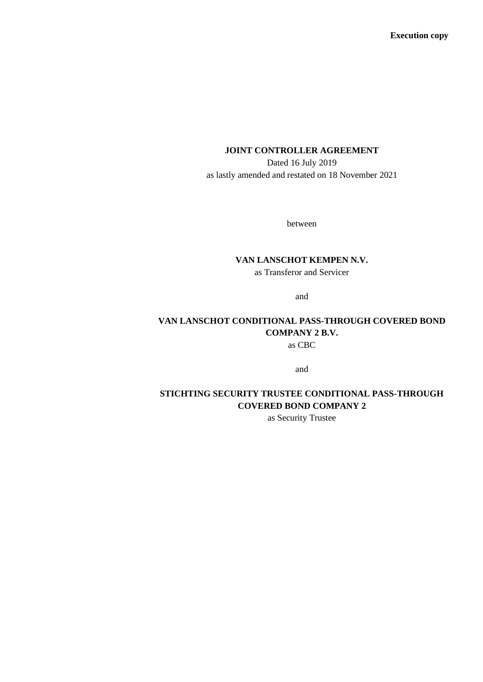**Execution copy**

# **JOINT CONTROLLER AGREEMENT**

Dated 16 July 2019 as lastly amended and restated on 18 November 2021

between

# **VAN LANSCHOT KEMPEN N.V.**

as Transferor and Servicer

and

# **VAN LANSCHOT CONDITIONAL PASS-THROUGH COVERED BOND COMPANY 2 B.V.** as CBC

and

# **STICHTING SECURITY TRUSTEE CONDITIONAL PASS-THROUGH COVERED BOND COMPANY 2**

as Security Trustee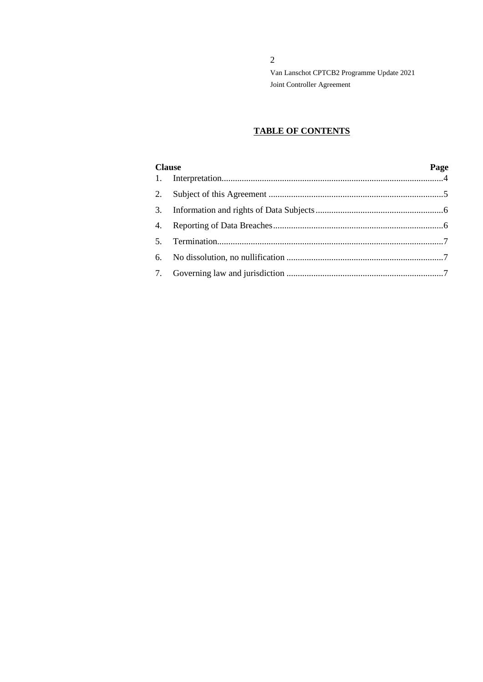# **TABLE OF CONTENTS**

| <b>Clause</b> |  | Page |
|---------------|--|------|
|               |  |      |
|               |  |      |
|               |  |      |
|               |  |      |
| 5.            |  |      |
|               |  |      |
|               |  |      |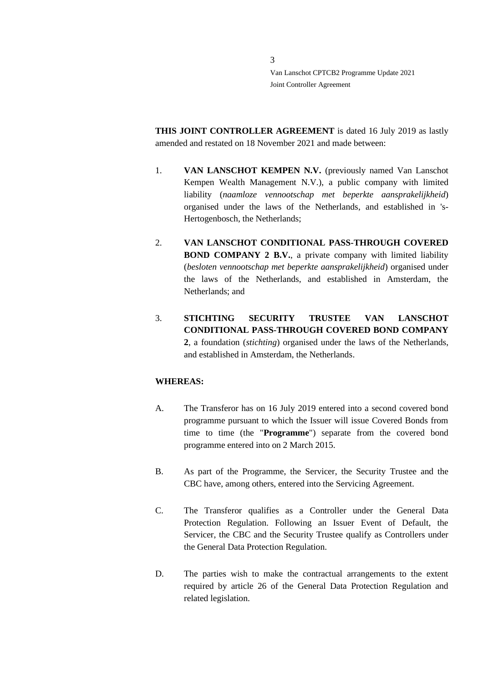**THIS JOINT CONTROLLER AGREEMENT** is dated 16 July 2019 as lastly amended and restated on 18 November 2021 and made between:

- 1. **VAN LANSCHOT KEMPEN N.V.** (previously named Van Lanschot Kempen Wealth Management N.V.), a public company with limited liability (*naamloze vennootschap met beperkte aansprakelijkheid*) organised under the laws of the Netherlands, and established in 's-Hertogenbosch, the Netherlands;
- 2. **VAN LANSCHOT CONDITIONAL PASS-THROUGH COVERED BOND COMPANY 2 B.V.**, a private company with limited liability (*besloten vennootschap met beperkte aansprakelijkheid*) organised under the laws of the Netherlands, and established in Amsterdam, the Netherlands; and
- 3. **STICHTING SECURITY TRUSTEE VAN LANSCHOT CONDITIONAL PASS-THROUGH COVERED BOND COMPANY 2**, a foundation (*stichting*) organised under the laws of the Netherlands, and established in Amsterdam, the Netherlands.

# **WHEREAS:**

- A. The Transferor has on 16 July 2019 entered into a second covered bond programme pursuant to which the Issuer will issue Covered Bonds from time to time (the "**Programme**") separate from the covered bond programme entered into on 2 March 2015.
- B. As part of the Programme, the Servicer, the Security Trustee and the CBC have, among others, entered into the Servicing Agreement.
- C. The Transferor qualifies as a Controller under the General Data Protection Regulation. Following an Issuer Event of Default, the Servicer, the CBC and the Security Trustee qualify as Controllers under the General Data Protection Regulation.
- D. The parties wish to make the contractual arrangements to the extent required by article 26 of the General Data Protection Regulation and related legislation.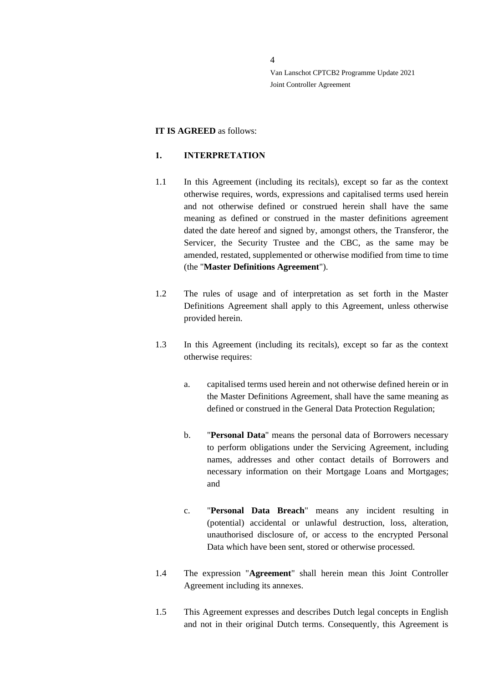#### **IT IS AGREED** as follows:

## <span id="page-3-0"></span>**1. INTERPRETATION**

- 1.1 In this Agreement (including its recitals), except so far as the context otherwise requires, words, expressions and capitalised terms used herein and not otherwise defined or construed herein shall have the same meaning as defined or construed in the master definitions agreement dated the date hereof and signed by, amongst others, the Transferor, the Servicer, the Security Trustee and the CBC, as the same may be amended, restated, supplemented or otherwise modified from time to time (the "**Master Definitions Agreement**").
- 1.2 The rules of usage and of interpretation as set forth in the Master Definitions Agreement shall apply to this Agreement, unless otherwise provided herein.
- 1.3 In this Agreement (including its recitals), except so far as the context otherwise requires:
	- a. capitalised terms used herein and not otherwise defined herein or in the Master Definitions Agreement, shall have the same meaning as defined or construed in the General Data Protection Regulation;
	- b. "**Personal Data**" means the personal data of Borrowers necessary to perform obligations under the Servicing Agreement, including names, addresses and other contact details of Borrowers and necessary information on their Mortgage Loans and Mortgages; and
	- c. "**Personal Data Breach**" means any incident resulting in (potential) accidental or unlawful destruction, loss, alteration, unauthorised disclosure of, or access to the encrypted Personal Data which have been sent, stored or otherwise processed.
- 1.4 The expression "**Agreement**" shall herein mean this Joint Controller Agreement including its annexes.
- 1.5 This Agreement expresses and describes Dutch legal concepts in English and not in their original Dutch terms. Consequently, this Agreement is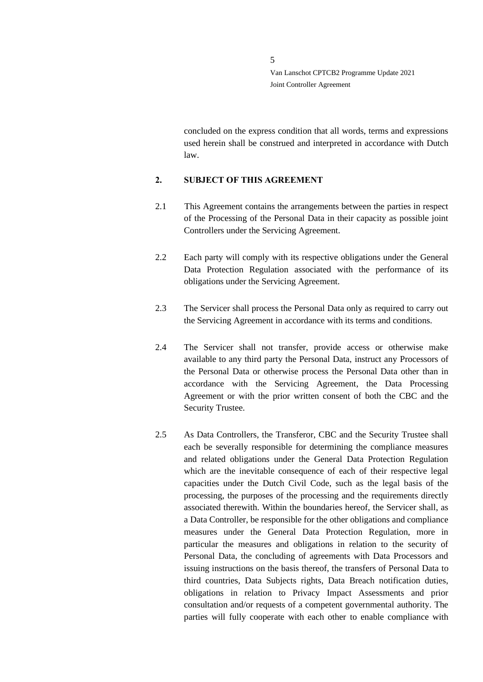concluded on the express condition that all words, terms and expressions used herein shall be construed and interpreted in accordance with Dutch law.

#### <span id="page-4-0"></span>**2. SUBJECT OF THIS AGREEMENT**

- 2.1 This Agreement contains the arrangements between the parties in respect of the Processing of the Personal Data in their capacity as possible joint Controllers under the Servicing Agreement.
- 2.2 Each party will comply with its respective obligations under the General Data Protection Regulation associated with the performance of its obligations under the Servicing Agreement.
- 2.3 The Servicer shall process the Personal Data only as required to carry out the Servicing Agreement in accordance with its terms and conditions.
- 2.4 The Servicer shall not transfer, provide access or otherwise make available to any third party the Personal Data, instruct any Processors of the Personal Data or otherwise process the Personal Data other than in accordance with the Servicing Agreement, the Data Processing Agreement or with the prior written consent of both the CBC and the Security Trustee.
- 2.5 As Data Controllers, the Transferor, CBC and the Security Trustee shall each be severally responsible for determining the compliance measures and related obligations under the General Data Protection Regulation which are the inevitable consequence of each of their respective legal capacities under the Dutch Civil Code, such as the legal basis of the processing, the purposes of the processing and the requirements directly associated therewith. Within the boundaries hereof, the Servicer shall, as a Data Controller, be responsible for the other obligations and compliance measures under the General Data Protection Regulation, more in particular the measures and obligations in relation to the security of Personal Data, the concluding of agreements with Data Processors and issuing instructions on the basis thereof, the transfers of Personal Data to third countries, Data Subjects rights, Data Breach notification duties, obligations in relation to Privacy Impact Assessments and prior consultation and/or requests of a competent governmental authority. The parties will fully cooperate with each other to enable compliance with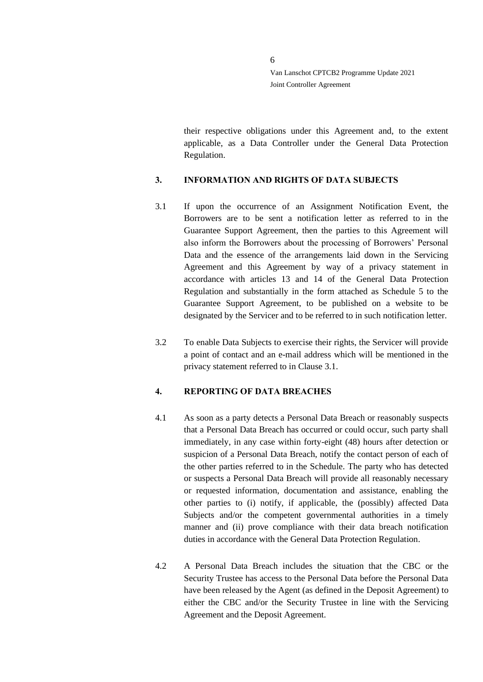their respective obligations under this Agreement and, to the extent applicable, as a Data Controller under the General Data Protection Regulation.

# <span id="page-5-0"></span>**3. INFORMATION AND RIGHTS OF DATA SUBJECTS**

- <span id="page-5-2"></span>3.1 If upon the occurrence of an Assignment Notification Event, the Borrowers are to be sent a notification letter as referred to in the Guarantee Support Agreement, then the parties to this Agreement will also inform the Borrowers about the processing of Borrowers' Personal Data and the essence of the arrangements laid down in the Servicing Agreement and this Agreement by way of a privacy statement in accordance with articles 13 and 14 of the General Data Protection Regulation and substantially in the form attached as Schedule 5 to the Guarantee Support Agreement, to be published on a website to be designated by the Servicer and to be referred to in such notification letter.
- 3.2 To enable Data Subjects to exercise their rights, the Servicer will provide a point of contact and an e-mail address which will be mentioned in the privacy statement referred to in Clause [3.1.](#page-5-2)

## <span id="page-5-1"></span>**4. REPORTING OF DATA BREACHES**

- 4.1 As soon as a party detects a Personal Data Breach or reasonably suspects that a Personal Data Breach has occurred or could occur, such party shall immediately, in any case within forty-eight (48) hours after detection or suspicion of a Personal Data Breach, notify the contact person of each of the other parties referred to in the Schedule. The party who has detected or suspects a Personal Data Breach will provide all reasonably necessary or requested information, documentation and assistance, enabling the other parties to (i) notify, if applicable, the (possibly) affected Data Subjects and/or the competent governmental authorities in a timely manner and (ii) prove compliance with their data breach notification duties in accordance with the General Data Protection Regulation.
- 4.2 A Personal Data Breach includes the situation that the CBC or the Security Trustee has access to the Personal Data before the Personal Data have been released by the Agent (as defined in the Deposit Agreement) to either the CBC and/or the Security Trustee in line with the Servicing Agreement and the Deposit Agreement.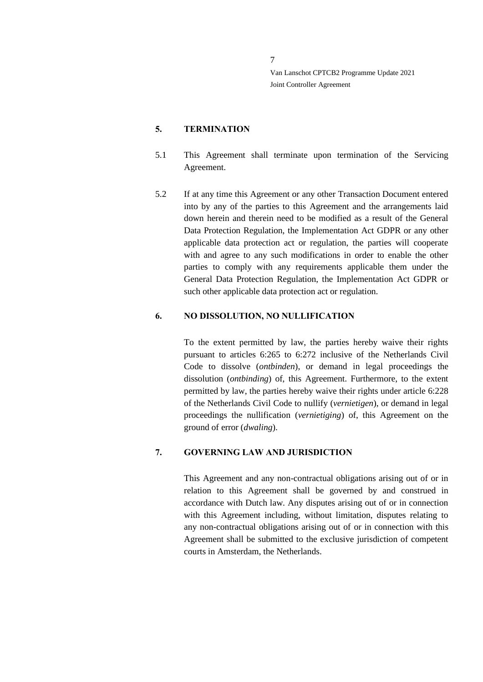#### <span id="page-6-0"></span>**5. TERMINATION**

- 5.1 This Agreement shall terminate upon termination of the Servicing Agreement.
- 5.2 If at any time this Agreement or any other Transaction Document entered into by any of the parties to this Agreement and the arrangements laid down herein and therein need to be modified as a result of the General Data Protection Regulation, the Implementation Act GDPR or any other applicable data protection act or regulation, the parties will cooperate with and agree to any such modifications in order to enable the other parties to comply with any requirements applicable them under the General Data Protection Regulation, the Implementation Act GDPR or such other applicable data protection act or regulation.

#### <span id="page-6-1"></span>**6. NO DISSOLUTION, NO NULLIFICATION**

To the extent permitted by law, the parties hereby waive their rights pursuant to articles 6:265 to 6:272 inclusive of the Netherlands Civil Code to dissolve (*ontbinden*), or demand in legal proceedings the dissolution (*ontbinding*) of, this Agreement. Furthermore, to the extent permitted by law, the parties hereby waive their rights under article 6:228 of the Netherlands Civil Code to nullify (*vernietigen*), or demand in legal proceedings the nullification (*vernietiging*) of, this Agreement on the ground of error (*dwaling*).

# <span id="page-6-2"></span>**7. GOVERNING LAW AND JURISDICTION**

This Agreement and any non-contractual obligations arising out of or in relation to this Agreement shall be governed by and construed in accordance with Dutch law. Any disputes arising out of or in connection with this Agreement including, without limitation, disputes relating to any non-contractual obligations arising out of or in connection with this Agreement shall be submitted to the exclusive jurisdiction of competent courts in Amsterdam, the Netherlands.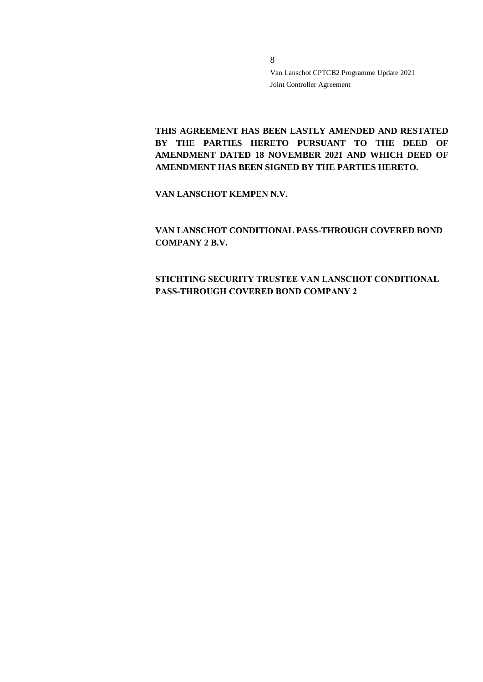**THIS AGREEMENT HAS BEEN LASTLY AMENDED AND RESTATED BY THE PARTIES HERETO PURSUANT TO THE DEED OF AMENDMENT DATED 18 NOVEMBER 2021 AND WHICH DEED OF AMENDMENT HAS BEEN SIGNED BY THE PARTIES HERETO.**

**VAN LANSCHOT KEMPEN N.V.**

**VAN LANSCHOT CONDITIONAL PASS-THROUGH COVERED BOND COMPANY 2 B.V.**

**STICHTING SECURITY TRUSTEE VAN LANSCHOT CONDITIONAL PASS-THROUGH COVERED BOND COMPANY 2**